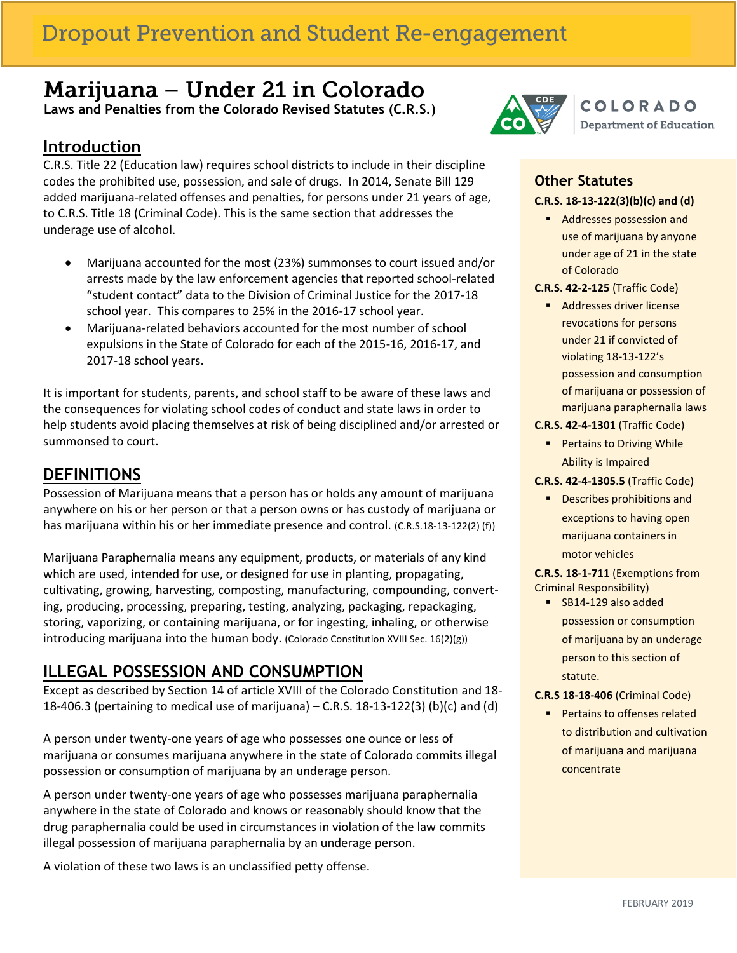## **Dropout Prevention and Student Re-engagement**

# Marijuana - Under 21 in Colorado

 **Laws and Penalties from the Colorado Revised Statutes (C.R.S.)**

### **Introduction**

I

C.R.S. Title 22 (Education law) requires school districts to include in their discipline codes the prohibited use, possession, and sale of drugs. In 2014, Senate Bill 129 added marijuana-related offenses and penalties, for persons under 21 years of age, to C.R.S. Title 18 (Criminal Code). This is the same section that addresses the underage use of alcohol.

- Marijuana accounted for the most (23%) summonses to court issued and/or arrests made by the law enforcement agencies that reported school-related "student contact" data to the Division of Criminal Justice for the 2017-18 school year. This compares to 25% in the 2016-17 school year.
- Marijuana-related behaviors accounted for the most number of school expulsions in the State of Colorado for each of the 2015-16, 2016-17, and 2017-18 school years.

It is important for students, parents, and school staff to be aware of these laws and the consequences for violating school codes of conduct and state laws in order to help students avoid placing themselves at risk of being disciplined and/or arrested or summonsed to court.

### **DEFINITIONS**

Possession of Marijuana means that a person has or holds any amount of marijuana anywhere on his or her person or that a person owns or has custody of marijuana or has marijuana within his or her immediate presence and control. (C.R.S.18-13-122(2) (f))

Marijuana Paraphernalia means any equipment, products, or materials of any kind which are used, intended for use, or designed for use in planting, propagating, cultivating, growing, harvesting, composting, manufacturing, compounding, converting, producing, processing, preparing, testing, analyzing, packaging, repackaging, storing, vaporizing, or containing marijuana, or for ingesting, inhaling, or otherwise introducing marijuana into the human body. (Colorado Constitution XVIII Sec. 16(2)(g))

### **ILLEGAL POSSESSION AND CONSUMPTION**

Except as described by Section 14 of article XVIII of the Colorado Constitution and 18- 18-406.3 (pertaining to medical use of marijuana) – C.R.S. 18-13-122(3) (b)(c) and (d)

A person under twenty-one years of age who possesses one ounce or less of marijuana or consumes marijuana anywhere in the state of Colorado commits illegal possession or consumption of marijuana by an underage person.

A person under twenty-one years of age who possesses marijuana paraphernalia anywhere in the state of Colorado and knows or reasonably should know that the drug paraphernalia could be used in circumstances in violation of the law commits illegal possession of marijuana paraphernalia by an underage person.

A violation of these two laws is an unclassified petty offense.



#### **Other Statutes C.R.S. 18-13-122(3)(b)(c) and (d)**

- Addresses possession and use of marijuana by anyone under age of 21 in the state of Colorado
- **C.R.S. 42-2-125** (Traffic Code)
	- **Addresses driver license** revocations for persons under 21 if convicted of violating 18-13-122's possession and consumption of marijuana or possession of marijuana paraphernalia laws
- **C.R.S. 42-4-1301** (Traffic Code)
	- **Pertains to Driving While** Ability is Impaired

#### **C.R.S. 42-4-1305.5** (Traffic Code)

**Describes prohibitions and** exceptions to having open marijuana containers in motor vehicles

 **C.R.S. 18-1-711** (Exemptions from Criminal Responsibility)

SB14-129 also added possession or consumption of marijuana by an underage person to this section of statute.

#### **C.R.S 18-18-406** (Criminal Code)

**Pertains to offenses related** to distribution and cultivation of marijuana and marijuana concentrate